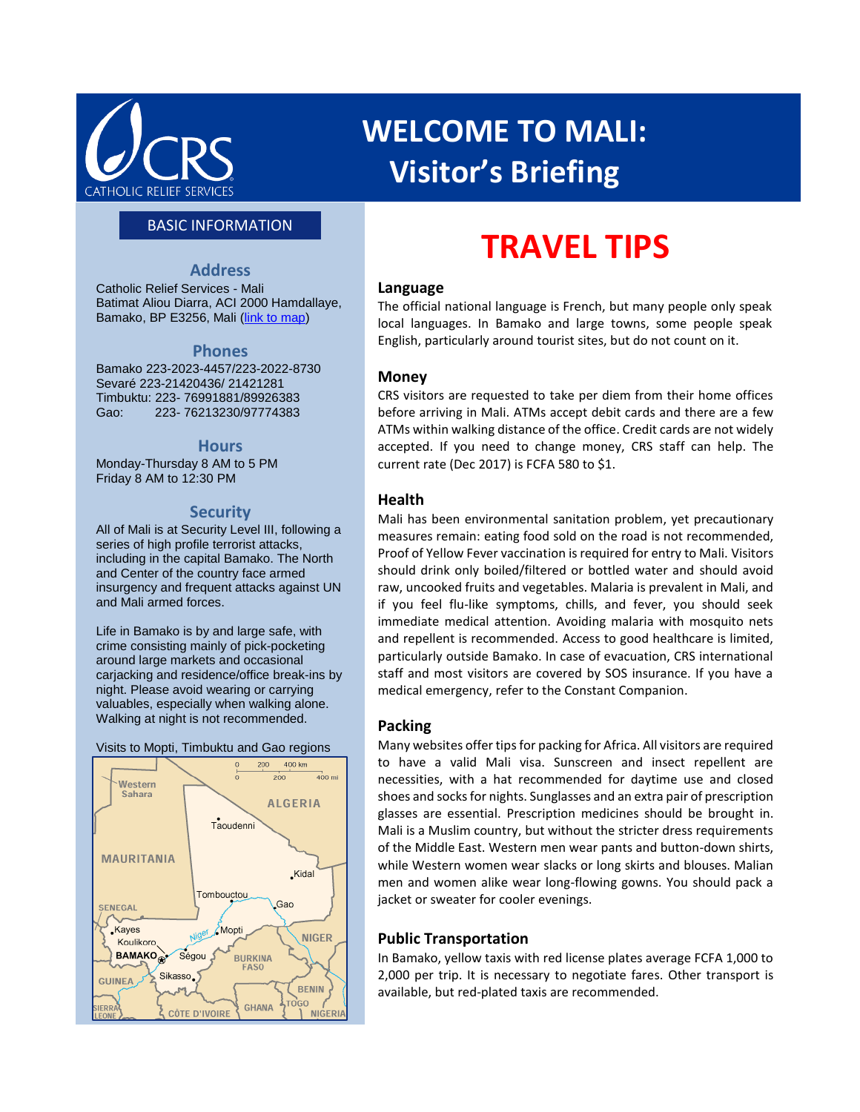

# **WELCOME TO MALI: Visitor's Briefing**

### BASIC INFORMATION

#### **Address**

Catholic Relief Services - Mali Batimat Aliou Diarra, ACI 2000 Hamdallaye, Bamako, BP E3256, Mali [\(link to map\)](https://www.google.com/maps/d/edit?hl=en&hl=en&authuser=0&authuser=0&mid=zA8rfmXCJXc0.k7I2agNMnvec)

#### **Phones**

Bamako 223-2023-4457/223-2022-8730 Sevaré 223-21420436/ 21421281 Timbuktu: 223- 76991881/89926383 Gao: 223- 76213230/97774383

#### **Hours**

Monday-Thursday 8 AM to 5 PM Friday 8 AM to 12:30 PM

#### **Security**

All of Mali is at Security Level III, following a series of high profile terrorist attacks, including in the capital Bamako. The North and Center of the country face armed insurgency and frequent attacks against UN and Mali armed forces.

Life in Bamako is by and large safe, with crime consisting mainly of pick-pocketing around large markets and occasional carjacking and residence/office break-ins by night. Please avoid wearing or carrying valuables, especially when walking alone. Walking at night is not recommended.





# **TRAVEL TIPS**

#### **Language**

The official national language is French, but many people only speak local languages. In Bamako and large towns, some people speak English, particularly around tourist sites, but do not count on it.

#### **Money**

CRS visitors are requested to take per diem from their home offices before arriving in Mali. ATMs accept debit cards and there are a few ATMs within walking distance of the office. Credit cards are not widely accepted. If you need to change money, CRS staff can help. The current rate (Dec 2017) is FCFA 580 to \$1.

#### **Health**

Mali has been environmental sanitation problem, yet precautionary measures remain: eating food sold on the road is not recommended, Proof of Yellow Fever vaccination is required for entry to Mali. Visitors should drink only boiled/filtered or bottled water and should avoid raw, uncooked fruits and vegetables. Malaria is prevalent in Mali, and if you feel flu-like symptoms, chills, and fever, you should seek immediate medical attention. Avoiding malaria with mosquito nets and repellent is recommended. Access to good healthcare is limited, particularly outside Bamako. In case of evacuation, CRS international staff and most visitors are covered by SOS insurance. If you have a medical emergency, refer to the Constant Companion.

#### **Packing**

Many websites offer tips for packing for Africa. All visitors are required to have a valid Mali visa. Sunscreen and insect repellent are necessities, with a hat recommended for daytime use and closed shoes and socks for nights. Sunglasses and an extra pair of prescription glasses are essential. Prescription medicines should be brought in. Mali is a Muslim country, but without the stricter dress requirements of the Middle East. Western men wear pants and button-down shirts, while Western women wear slacks or long skirts and blouses. Malian men and women alike wear long-flowing gowns. You should pack a jacket or sweater for cooler evenings.

#### **Public Transportation**

In Bamako, yellow taxis with red license plates average FCFA 1,000 to 2,000 per trip. It is necessary to negotiate fares. Other transport is available, but red-plated taxis are recommended.